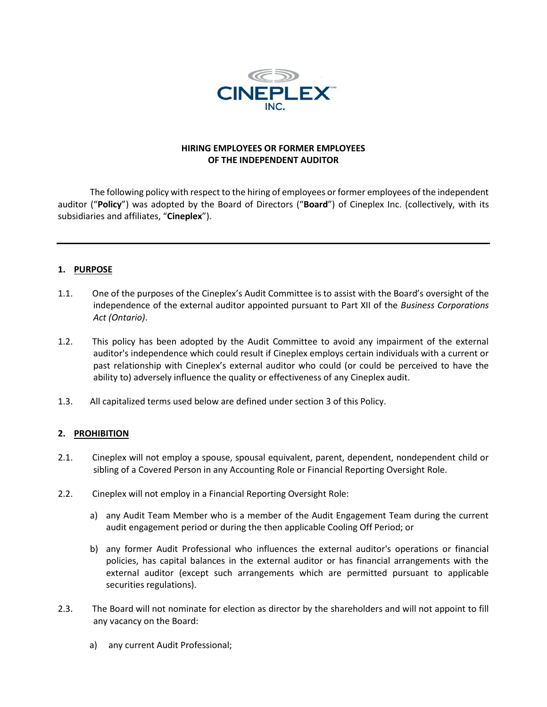

# **HIRING EMPLOYEES OR FORMER EMPLOYEES OF THE INDEPENDENT AUDITOR**

The following policy with respect to the hiring of employees or former employees of the independent auditor ("**Policy**") was adopted by the Board of Directors ("**Board**") of Cineplex Inc. (collectively, with its subsidiaries and affiliates, "**Cineplex**").

# **1. PURPOSE**

- 1.1. One of the purposes of the Cineplex's Audit Committee is to assist with the Board's oversight of the independence of the external auditor appointed pursuant to Part XII of the *Business Corporations Act (Ontario)*.
- 1.2. This policy has been adopted by the Audit Committee to avoid any impairment of the external auditor's independence which could result if Cineplex employs certain individuals with a current or past relationship with Cineplex's external auditor who could (or could be perceived to have the ability to) adversely influence the quality or effectiveness of any Cineplex audit.
- 1.3. All capitalized terms used below are defined under section [3](#page-1-0) of this Policy.

# **2. PROHIBITION**

- 2.1. Cineplex will not employ a spouse, spousal equivalent, parent, dependent, nondependent child or sibling of a Covered Person in any Accounting Role or Financial Reporting Oversight Role.
- 2.2. Cineplex will not employ in a Financial Reporting Oversight Role:
	- a) any Audit Team Member who is a member of the Audit Engagement Team during the current audit engagement period or during the then applicable Cooling Off Period; or
	- b) any former Audit Professional who influences the external auditor's operations or financial policies, has capital balances in the external auditor or has financial arrangements with the external auditor (except such arrangements which are permitted pursuant to applicable securities regulations).
- 2.3. The Board will not nominate for election as director by the shareholders and will not appoint to fill any vacancy on the Board:
	- a) any current Audit Professional;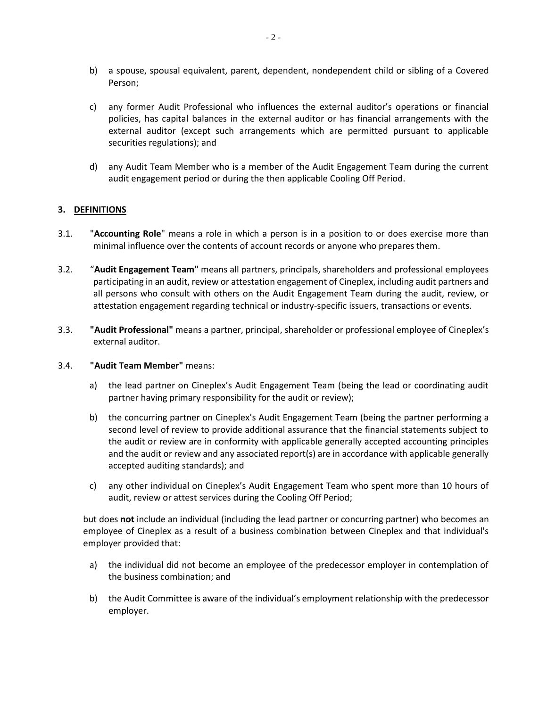- b) a spouse, spousal equivalent, parent, dependent, nondependent child or sibling of a Covered Person;
- c) any former Audit Professional who influences the external auditor's operations or financial policies, has capital balances in the external auditor or has financial arrangements with the external auditor (except such arrangements which are permitted pursuant to applicable securities regulations); and
- d) any Audit Team Member who is a member of the Audit Engagement Team during the current audit engagement period or during the then applicable Cooling Off Period.

### <span id="page-1-0"></span>**3. DEFINITIONS**

- 3.1. "**Accounting Role**" means a role in which a person is in a position to or does exercise more than minimal influence over the contents of account records or anyone who prepares them.
- 3.2. "**Audit Engagement Team"** means all partners, principals, shareholders and professional employees participating in an audit, review or attestation engagement of Cineplex, including audit partners and all persons who consult with others on the Audit Engagement Team during the audit, review, or attestation engagement regarding technical or industry-specific issuers, transactions or events.
- 3.3. **"Audit Professional"** means a partner, principal, shareholder or professional employee of Cineplex's external auditor.

#### 3.4. **"Audit Team Member"** means:

- a) the lead partner on Cineplex's Audit Engagement Team (being the lead or coordinating audit partner having primary responsibility for the audit or review);
- b) the concurring partner on Cineplex's Audit Engagement Team (being the partner performing a second level of review to provide additional assurance that the financial statements subject to the audit or review are in conformity with applicable generally accepted accounting principles and the audit or review and any associated report(s) are in accordance with applicable generally accepted auditing standards); and
- c) any other individual on Cineplex's Audit Engagement Team who spent more than 10 hours of audit, review or attest services during the Cooling Off Period;

but does **not** include an individual (including the lead partner or concurring partner) who becomes an employee of Cineplex as a result of a business combination between Cineplex and that individual's employer provided that:

- a) the individual did not become an employee of the predecessor employer in contemplation of the business combination; and
- b) the Audit Committee is aware of the individual's employment relationship with the predecessor employer.